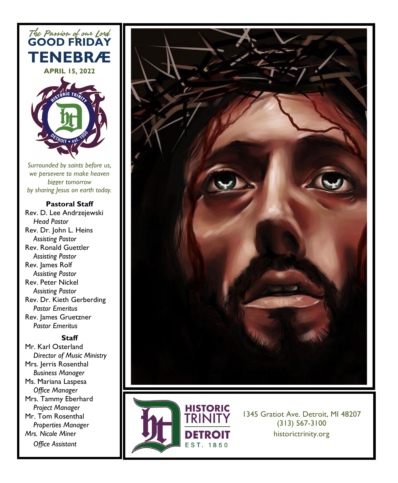

*Surrounded by saints before us, we persevere to make heaven bigger tomorrow by sharing Jesus on earth today.*

#### **Pastoral Staff**

Rev. D. Lee Andrzejewski  *Head Pastor* Rev. Dr. John L. Heins *Assisting Pastor* Rev. Ronald Guettler *Assisting Pastor* Rev. James Rolf  *Assisting Pastor* Rev. Peter Nickel  *Assisting Pastor* Rev. Dr. Kieth Gerberding *Pastor Emeritus*  Rev. James Gruetzner *Pastor Emeritus*

#### **Staff**

Mr. Karl Osterland *Director of Music Ministry* Mrs. Jerris Rosenthal *Business Manager* Ms. Mariana Laspesa *Office Manager* Mrs. Tammy Eberhard  *Project Manager* Mr. Tom Rosenthal *Properties Manager Mrs. Nicole Miner Office Assistant*





1345 Gratiot Ave. Detroit, MI 48207 (313) 567-3100 historictrinity.org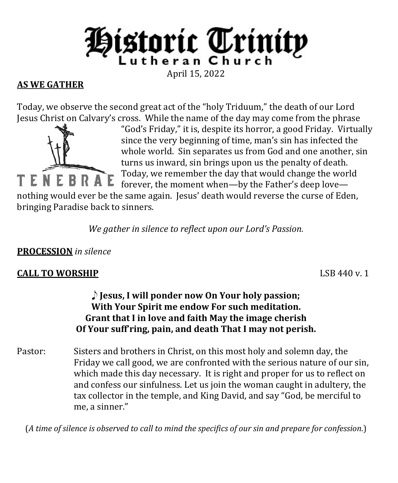

# **AS WE GATHER**

Today, we observe the second great act of the "holy Triduum," the death of our Lord Jesus Christ on Calvary's cross. While the name of the day may come from the phrase



"God's Friday," it is, despite its horror, a good Friday. Virtually since the very beginning of time, man's sin has infected the whole world. Sin separates us from God and one another, sin turns us inward, sin brings upon us the penalty of death. Today, we remember the day that would change the world forever, the moment when—by the Father's deep love—

nothing would ever be the same again. Jesus' death would reverse the curse of Eden, bringing Paradise back to sinners.

*We gather in silence to reflect upon our Lord's Passion.*

### **PROCESSION** *in silence*

# **CALL TO WORSHIP** LSB 440 v. 1

### E **Jesus, I will ponder now On Your holy passion; With Your Spirit me endow For such meditation. Grant that I in love and faith May the image cherish Of Your suff'ring, pain, and death That I may not perish.**

Pastor: Sisters and brothers in Christ, on this most holy and solemn day, the Friday we call good, we are confronted with the serious nature of our sin, which made this day necessary. It is right and proper for us to reflect on and confess our sinfulness. Let us join the woman caught in adultery, the tax collector in the temple, and King David, and say "God, be merciful to me, a sinner."

(*A time of silence is observed to call to mind the specifics of our sin and prepare for confession*.)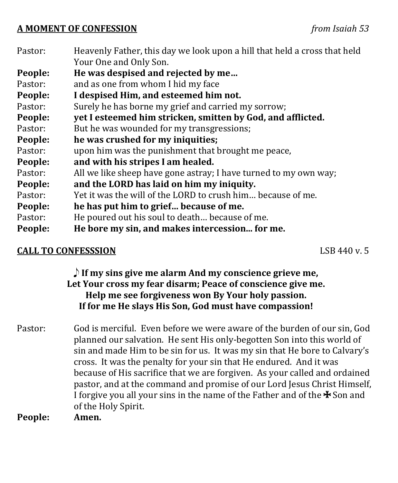#### **A MOMENT OF CONFESSION** *from Isaiah 53*

| Pastor: | Heavenly Father, this day we look upon a hill that held a cross that held |
|---------|---------------------------------------------------------------------------|
|         | Your One and Only Son.                                                    |
| People: | He was despised and rejected by me                                        |
| Pastor: | and as one from whom I hid my face                                        |
| People: | I despised Him, and esteemed him not.                                     |
| Pastor: | Surely he has borne my grief and carried my sorrow;                       |
| People: | yet I esteemed him stricken, smitten by God, and afflicted.               |
| Pastor: | But he was wounded for my transgressions;                                 |
| People: | he was crushed for my iniquities;                                         |
| Pastor: | upon him was the punishment that brought me peace,                        |
| People: | and with his stripes I am healed.                                         |
| Pastor: | All we like sheep have gone astray; I have turned to my own way;          |
| People: | and the LORD has laid on him my iniquity.                                 |
| Pastor: | Yet it was the will of the LORD to crush him because of me.               |
| People: | he has put him to grief because of me.                                    |
| Pastor: | He poured out his soul to death because of me.                            |
| People: | He bore my sin, and makes intercession for me.                            |
|         |                                                                           |

### **CALL TO CONFESSSION LSB 440 v. 5**

E **If my sins give me alarm And my conscience grieve me, Let Your cross my fear disarm; Peace of conscience give me. Help me see forgiveness won By Your holy passion. If for me He slays His Son, God must have compassion!**

Pastor: God is merciful. Even before we were aware of the burden of our sin, God planned our salvation. He sent His only-begotten Son into this world of sin and made Him to be sin for us. It was my sin that He bore to Calvary's cross. It was the penalty for your sin that He endured. And it was because of His sacrifice that we are forgiven. As your called and ordained pastor, and at the command and promise of our Lord Jesus Christ Himself, I forgive you all your sins in the name of the Father and of the  $\ast$  Son and of the Holy Spirit.<br>**Amen.** 

**People:**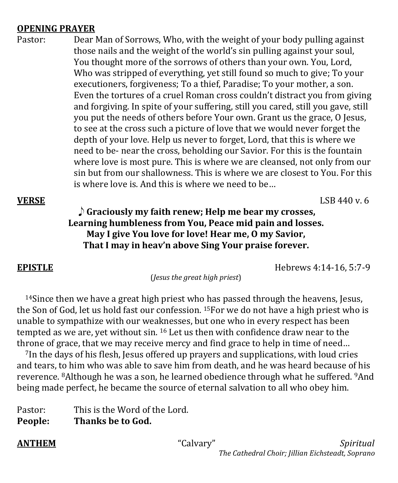### **OPENING PRAYER**

Pastor: Dear Man of Sorrows, Who, with the weight of your body pulling against those nails and the weight of the world's sin pulling against your soul, You thought more of the sorrows of others than your own. You, Lord, Who was stripped of everything, yet still found so much to give; To your executioners, forgiveness; To a thief, Paradise; To your mother, a son. Even the tortures of a cruel Roman cross couldn't distract you from giving and forgiving. In spite of your suffering, still you cared, still you gave, still you put the needs of others before Your own. Grant us the grace, O Jesus, to see at the cross such a picture of love that we would never forget the depth of your love. Help us never to forget, Lord, that this is where we need to be- near the cross, beholding our Savior. For this is the fountain where love is most pure. This is where we are cleansed, not only from our sin but from our shallowness. This is where we are closest to You. For this is where love is. And this is where we need to be…

### **VERSE** LSB 440 v. 6 E **Graciously my faith renew; Help me bear my crosses, Learning humbleness from You, Peace mid pain and losses. May I give You love for love! Hear me, O my Savior, That I may in heav'n above Sing Your praise forever.**

**EPISTLE** Hebrews 4:14-16, 5:7-9

(*Jesus the great high priest*)

 14Since then we have a great high priest who has passed through the heavens, Jesus, the Son of God, let us hold fast our confession. <sup>15</sup>For we do not have a high priest who is unable to sympathize with our weaknesses, but one who in every respect has been tempted as we are, yet without sin. 16 Let us then with confidence draw near to the throne of grace, that we may receive mercy and find grace to help in time of need…

 7In the days of his flesh, Jesus offered up prayers and supplications, with loud cries and tears, to him who was able to save him from death, and he was heard because of his reverence. 8Although he was a son, he learned obedience through what he suffered. 9And being made perfect, he became the source of eternal salvation to all who obey him.

Pastor: This is the Word of the Lord.<br>**People: Thanks be to God. Thanks be to God.**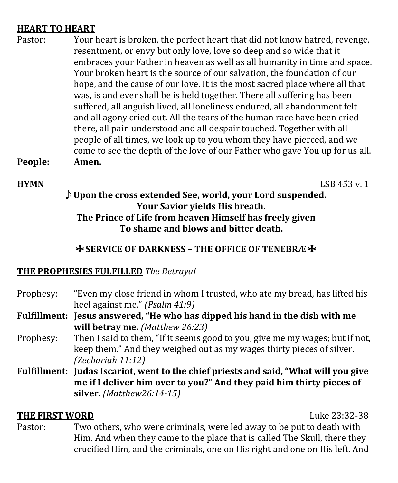### **HEART TO HEART**

Pastor: Your heart is broken, the perfect heart that did not know hatred, revenge, resentment, or envy but only love, love so deep and so wide that it embraces your Father in heaven as well as all humanity in time and space. Your broken heart is the source of our salvation, the foundation of our hope, and the cause of our love. It is the most sacred place where all that was, is and ever shall be is held together. There all suffering has been suffered, all anguish lived, all loneliness endured, all abandonment felt and all agony cried out. All the tears of the human race have been cried there, all pain understood and all despair touched. Together with all people of all times, we look up to you whom they have pierced, and we come to see the depth of the love of our Father who gave You up for us all.<br>Amen. **People:** 

**HYMN** LSB 453 v. 1

### E **Upon the cross extended See, world, your Lord suspended. Your Savior yields His breath. The Prince of Life from heaven Himself has freely given To shame and blows and bitter death.**

### **EXERVICE OF DARKNESS – THE OFFICE OF TENEBRA**  $\ddot{*}$

#### **THE PROPHESIES FULFILLED** *The Betrayal*

- Prophesy: "Even my close friend in whom I trusted, who ate my bread, has lifted his heel against me." *(Psalm 41:9)*
- **Fulfillment: Jesus answered, "He who has dipped his hand in the dish with me will betray me.** *(Matthew 26:23)*
- Prophesy: Then I said to them, "If it seems good to you, give me my wages; but if not, keep them." And they weighed out as my wages thirty pieces of silver. *(Zechariah 11:12)*
- **Fulfillment: Judas Iscariot, went to the chief priests and said, "What will you give me if I deliver him over to you?" And they paid him thirty pieces of silver.** *(Matthew26:14-15)*

**THE FIRST WORD** Luke 23:32-38 Two others, who were criminals, were led away to be put to death with Him. And when they came to the place that is called The Skull, there they crucified Him, and the criminals, one on His right and one on His left. And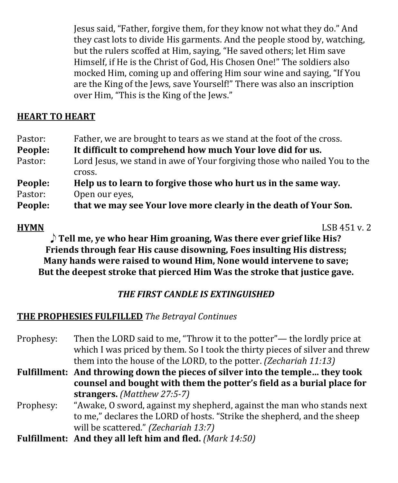Jesus said, "Father, forgive them, for they know not what they do." And they cast lots to divide His garments. And the people stood by, watching, but the rulers scoffed at Him, saying, "He saved others; let Him save Himself, if He is the Christ of God, His Chosen One!" The soldiers also mocked Him, coming up and offering Him sour wine and saying, "If You are the King of the Jews, save Yourself!" There was also an inscription over Him, "This is the King of the Jews."

# **HEART TO HEART**

| Pastor:                   | Father, we are brought to tears as we stand at the foot of the cross.                                                                                                                                                             |
|---------------------------|-----------------------------------------------------------------------------------------------------------------------------------------------------------------------------------------------------------------------------------|
| People:                   | It difficult to comprehend how much Your love did for us.                                                                                                                                                                         |
| Pastor:                   | Lord Jesus, we stand in awe of Your forgiving those who nailed You to the                                                                                                                                                         |
|                           | cross.                                                                                                                                                                                                                            |
| People:                   | Help us to learn to forgive those who hurt us in the same way.                                                                                                                                                                    |
| Pastor:                   | Open our eyes,                                                                                                                                                                                                                    |
| $\mathbf{r}$ $\mathbf{r}$ | $\mathbf{u}$ , the contract of the contract of the contract of the contract of the contract of the contract of the contract of the contract of the contract of the contract of the contract of the contract of the contract of th |

**People: that we may see Your love more clearly in the death of Your Son.**

**HYMN** LSB 451 v. 2 E **Tell me, ye who hear Him groaning, Was there ever grief like His? Friends through fear His cause disowning, Foes insulting His distress; Many hands were raised to wound Him, None would intervene to save; But the deepest stroke that pierced Him Was the stroke that justice gave.**

# *THE FIRST CANDLE IS EXTINGUISHED*

# **THE PROPHESIES FULFILLED** *The Betrayal Continues*

- Prophesy: Then the LORD said to me, "Throw it to the potter"— the lordly price at which I was priced by them. So I took the thirty pieces of silver and threw them into the house of the LORD, to the potter. *(Zechariah 11:13)*
- **Fulfillment: And throwing down the pieces of silver into the temple… they took counsel and bought with them the potter's field as a burial place for strangers.** *(Matthew 27:5-7)*
- Prophesy: "Awake, O sword, against my shepherd, against the man who stands next to me," declares the LORD of hosts. "Strike the shepherd, and the sheep will be scattered." *(Zechariah 13:7)*
- **Fulfillment: And they all left him and fled.** *(Mark 14:50)*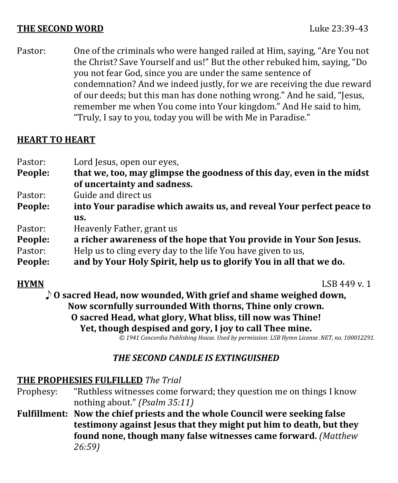#### **THE SECOND WORD Luke 23:39-43**

Pastor: One of the criminals who were hanged railed at Him, saying, "Are You not the Christ? Save Yourself and us!" But the other rebuked him, saying, "Do you not fear God, since you are under the same sentence of condemnation? And we indeed justly, for we are receiving the due reward of our deeds; but this man has done nothing wrong." And he said, "Jesus, remember me when You come into Your kingdom." And He said to him, "Truly, I say to you, today you will be with Me in Paradise."

### **HEART TO HEART**

Pastor: Lord Jesus, open our eyes,<br>**People: hat we. too. may glimps People: that we, too, may glimpse the goodness of this day, even in the midst of uncertainty and sadness.** Pastor: Guide and direct us<br>**People: into Your paradise People: into Your paradise which awaits us, and reveal Your perfect peace to us.** Pastor: Heavenly Father, grant us<br>**People: a richer awareness of th People: a richer awareness of the hope that You provide in Your Son Jesus.** Pastor: Help us to cling every day to the life You have given to us,<br>**People:** and by Your Holy Spirit, help us to glorify You in all the **People: and by Your Holy Spirit, help us to glorify You in all that we do.**

**HYMN** LSB 449 v. 1 E **O sacred Head, now wounded, With grief and shame weighed down, Now scornfully surrounded With thorns, Thine only crown. O sacred Head, what glory, What bliss, till now was Thine! Yet, though despised and gory, I joy to call Thee mine.**

*© 1941 Concordia Publishing House. Used by permission: LSB Hymn License .NET, no. 100012291.*

### *THE SECOND CANDLE IS EXTINGUISHED*

# **THE PROPHESIES FULFILLED** *The Trial*

- "Ruthless witnesses come forward; they question me on things I know nothing about." *(Psalm 35:11)*
- **Fulfillment: Now the chief priests and the whole Council were seeking false testimony against Jesus that they might put him to death, but they found none, though many false witnesses came forward.** *(Matthew 26:59)*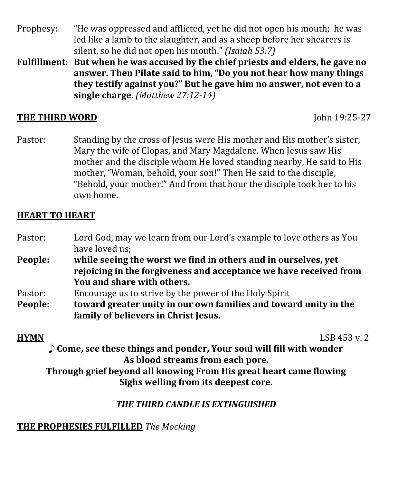- Prophesy: "He was oppressed and afflicted, yet he did not open his mouth; he was led like a lamb to the slaughter, and as a sheep before her shearers is silent, so he did not open his mouth." *(Isaiah 53:7)*
- **Fulfillment: But when he was accused by the chief priests and elders, he gave no answer. Then Pilate said to him, "Do you not hear how many things they testify against you?" But he gave him no answer, not even to a single charge.** *(Matthew 27:12-14)*

### **THE THIRD WORD John 19:25-27**

Pastor: Standing by the cross of Jesus were His mother and His mother's sister, Mary the wife of Clopas, and Mary Magdalene. When Jesus saw His mother and the disciple whom He loved standing nearby, He said to His mother, "Woman, behold, your son!" Then He said to the disciple, "Behold, your mother!" And from that hour the disciple took her to his own home.

# **HEART TO HEART**

| Pastor: | Lord God, may we learn from our Lord's example to love others as You |
|---------|----------------------------------------------------------------------|
|         | have loved us;                                                       |
| People: | while seeing the worst we find in others and in ourselves, yet       |
|         | rejoicing in the forgiveness and acceptance we have received from    |
|         | You and share with others.                                           |
| Pastor: | Encourage us to strive by the power of the Holy Spirit               |
| People: | toward greater unity in our own families and toward unity in the     |
|         | family of believers in Christ Jesus.                                 |

**HYMN** LSB 453 v. 2 E **Come, see these things and ponder, Your soul will fill with wonder As blood streams from each pore.**

**Through grief beyond all knowing From His great heart came flowing Sighs welling from its deepest core.**

# *THE THIRD CANDLE IS EXTINGUISHED*

### **THE PROPHESIES FULFILLED** *The Mocking*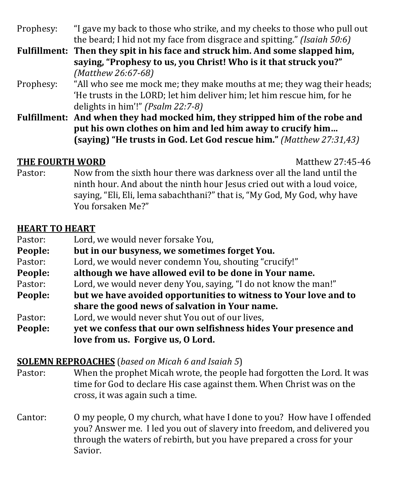Prophesy: "I gave my back to those who strike, and my cheeks to those who pull out the beard; I hid not my face from disgrace and spitting." *(Isaiah 50:6)*

- **Fulfillment: Then they spit in his face and struck him. And some slapped him, saying, "Prophesy to us, you Christ! Who is it that struck you?"** *(Matthew 26:67-68)*
- Prophesy: "All who see me mock me; they make mouths at me; they wag their heads; 'He trusts in the LORD; let him deliver him; let him rescue him, for he delights in him'!" *(Psalm 22:7-8)*
- **Fulfillment: And when they had mocked him, they stripped him of the robe and put his own clothes on him and led him away to crucify him… (saying) "He trusts in God. Let God rescue him."** *(Matthew 27:31,43)*

Matthew 27:45-46<br>Pastor: Now from the sixth hour there was darkness over all the land until the Now from the sixth hour there was darkness over all the land until the ninth hour. And about the ninth hour Jesus cried out with a loud voice, saying, "Eli, Eli, lema sabachthani?" that is, "My God, My God, why have You forsaken Me?"

# **HEART TO HEART**

| Pastor: | Lord, we would never forsake You,                                |
|---------|------------------------------------------------------------------|
| People: | but in our busyness, we sometimes forget You.                    |
| Pastor: | Lord, we would never condemn You, shouting "crucify!"            |
| People: | although we have allowed evil to be done in Your name.           |
| Pastor: | Lord, we would never deny You, saying, "I do not know the man!"  |
| People: | but we have avoided opportunities to witness to Your love and to |
|         | share the good news of salvation in Your name.                   |
| Pastor: | Lord, we would never shut You out of our lives,                  |
| People: | yet we confess that our own selfishness hides Your presence and  |
|         | love from us. Forgive us, O Lord.                                |

# **SOLEMN REPROACHES** (*based on Micah 6 and Isaiah 5*)

- When the prophet Micah wrote, the people had forgotten the Lord. It was time for God to declare His case against them. When Christ was on the cross, it was again such a time.
- Cantor: O my people, O my church, what have I done to you? How have I offended you? Answer me. I led you out of slavery into freedom, and delivered you through the waters of rebirth, but you have prepared a cross for your Savior.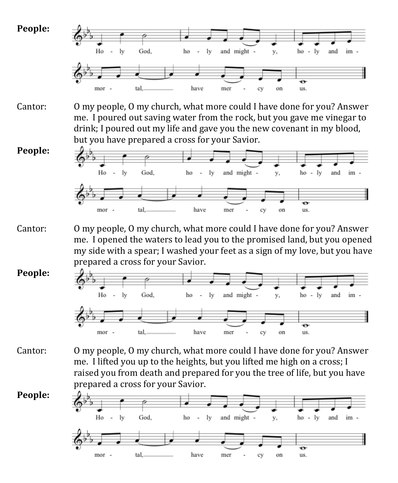





- Cantor: O my people, O my church, what more could I have done for you? Answer me. I opened the waters to lead you to the promised land, but you opened my side with a spear; I washed your feet as a sign of my love, but you have prepared a cross for your Savior.
- **People:**



Cantor: O my people, O my church, what more could I have done for you? Answer me. I lifted you up to the heights, but you lifted me high on a cross; I raised you from death and prepared for you the tree of life, but you have prepared a cross for your Savior.



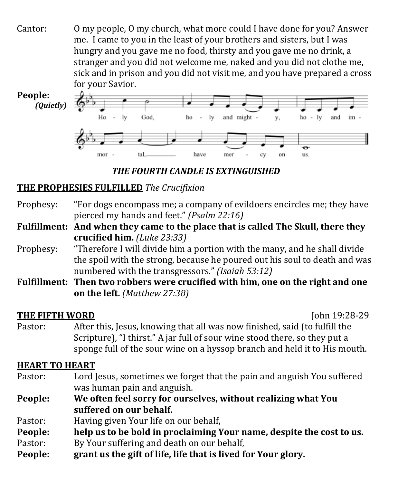Cantor: O my people, O my church, what more could I have done for you? Answer me. I came to you in the least of your brothers and sisters, but I was hungry and you gave me no food, thirsty and you gave me no drink, a stranger and you did not welcome me, naked and you did not clothe me, sick and in prison and you did not visit me, and you have prepared a cross for your Savior.



*THE FOURTH CANDLE IS EXTINGUISHED*

# **THE PROPHESIES FULFILLED** *The Crucifixion*

Prophesy: "For dogs encompass me; a company of evildoers encircles me; they have pierced my hands and feet." *(Psalm 22:16)*

**Fulfillment: And when they came to the place that is called The Skull, there they crucified him.** *(Luke 23:33)*

- Prophesy: "Therefore I will divide him a portion with the many, and he shall divide the spoil with the strong, because he poured out his soul to death and was numbered with the transgressors." *(Isaiah 53:12)*
- **Fulfillment: Then two robbers were crucified with him, one on the right and one on the left.** *(Matthew 27:38)*

John 19:28-29<br>Pastor: After this, Jesus, knowing that all was now finished, said (to fulfill the After this, Jesus, knowing that all was now finished, said (to fulfill the Scripture), "I thirst." A jar full of sour wine stood there, so they put a sponge full of the sour wine on a hyssop branch and held it to His mouth.

# **HEART TO HEART**

Pastor: Lord Jesus, sometimes we forget that the pain and anguish You suffered was human pain and anguish.

- **People: We often feel sorry for ourselves, without realizing what You suffered on our behalf.**
- Pastor: Having given Your life on our behalf,<br> **People:** help us to be bold in proclaiming Y
- **People: help us to be bold in proclaiming Your name, despite the cost to us.**
- Pastor: By Your suffering and death on our behalf,
- **People: grant us the gift of life, life that is lived for Your glory.**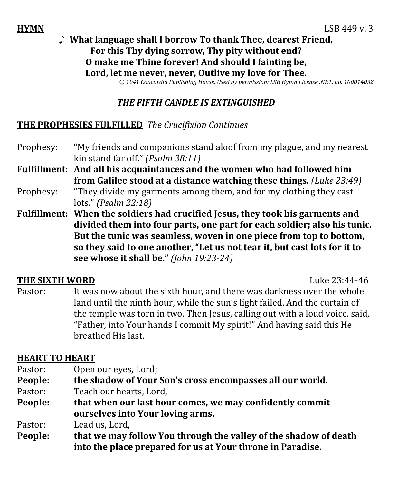### **HYMN** LSB 449 v. 3 E **What language shall I borrow To thank Thee, dearest Friend, For this Thy dying sorrow, Thy pity without end? O make me Thine forever! And should I fainting be, Lord, let me never, never, Outlive my love for Thee.**

*© 1941 Concordia Publishing House. Used by permission: LSB Hymn License .NET, no. 100014032.*

#### *THE FIFTH CANDLE IS EXTINGUISHED*

#### **THE PROPHESIES FULFILLED** *The Crucifixion Continues*

- Prophesy: "My friends and companions stand aloof from my plague, and my nearest kin stand far off." *(Psalm 38:11)*
- **Fulfillment: And all his acquaintances and the women who had followed him from Galilee stood at a distance watching these things.** *(Luke 23:49)*
- Prophesy: "They divide my garments among them, and for my clothing they cast lots." *(Psalm 22:18)*
- **Fulfillment: When the soldiers had crucified Jesus, they took his garments and divided them into four parts, one part for each soldier; also his tunic. But the tunic was seamless, woven in one piece from top to bottom, so they said to one another, "Let us not tear it, but cast lots for it to see whose it shall be."** *(John 19:23-24)*

Luke 23:44-46<br>Pastor: It was now about the sixth hour, and there was darkness over the whole It was now about the sixth hour, and there was darkness over the whole land until the ninth hour, while the sun's light failed. And the curtain of the temple was torn in two. Then Jesus, calling out with a loud voice, said, "Father, into Your hands I commit My spirit!" And having said this He breathed His last.

### **HEART TO HEART**

- Pastor: Open our eyes, Lord;<br>**People: the shadow of Your**
- **People: the shadow of Your Son's cross encompasses all our world.**
- Pastor: Teach our hearts, Lord,<br>**People:** that when our last hou
- **People: that when our last hour comes, we may confidently commit ourselves into Your loving arms.**

Pastor: Lead us, Lord,<br>**People: that we may f** 

**People: that we may follow You through the valley of the shadow of death into the place prepared for us at Your throne in Paradise.**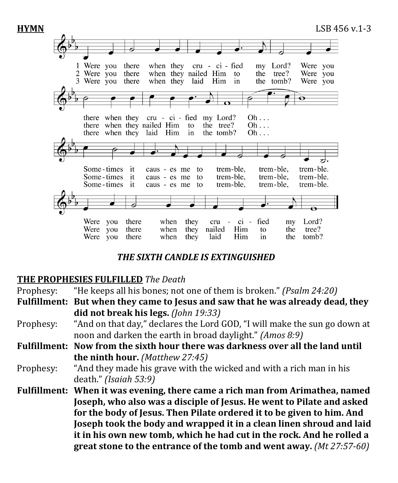

### *THE SIXTH CANDLE IS EXTINGUISHED*

### **THE PROPHESIES FULFILLED** *The Death*

Prophesy: "He keeps all his bones; not one of them is broken." *(Psalm 24:20)* **Fulfillment: But when they came to Jesus and saw that he was already dead, they did not break his legs.** *(John 19:33)*

- Prophesy: "And on that day," declares the Lord GOD, "I will make the sun go down at noon and darken the earth in broad daylight." *(Amos 8:9)*
- **Fulfillment: Now from the sixth hour there was darkness over all the land until the ninth hour.** *(Matthew 27:45)*

Prophesy: "And they made his grave with the wicked and with a rich man in his death." *(Isaiah 53:9)*

**Fulfillment: When it was evening, there came a rich man from Arimathea, named Joseph, who also was a disciple of Jesus. He went to Pilate and asked for the body of Jesus. Then Pilate ordered it to be given to him. And Joseph took the body and wrapped it in a clean linen shroud and laid it in his own new tomb, which he had cut in the rock. And he rolled a great stone to the entrance of the tomb and went away.** *(Mt 27:57-60)*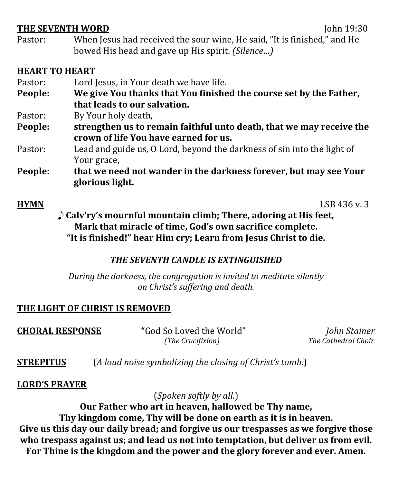John 19:30<br>Pastor: When Jesus had received the sour wine. He said. "It is finished." and He When Jesus had received the sour wine, He said, "It is finished," and He bowed His head and gave up His spirit. *(Silence…)*

#### **HEART TO HEART**

- Pastor: Lord Jesus, in Your death we have life.<br>**People: We give You thanks that You finishe**
- **People: We give You thanks that You finished the course set by the Father, that leads to our salvation.**
- Pastor: By Your holy death,<br> **People:** strengthen us to re
- **People: strengthen us to remain faithful unto death, that we may receive the crown of life You have earned for us.**
- Pastor: Lead and guide us, O Lord, beyond the darkness of sin into the light of Your grace,
- **People: that we need not wander in the darkness forever, but may see Your glorious light.**

**HYMN** LSB 436 v. 3 E **Calv'ry's mournful mountain climb; There, adoring at His feet, Mark that miracle of time, God's own sacrifice complete. "It is finished!" hear Him cry; Learn from Jesus Christ to die.**

### *THE SEVENTH CANDLE IS EXTINGUISHED*

*During the darkness, the congregation is invited to meditate silently on Christ's suffering and death.* 

# **THE LIGHT OF CHRIST IS REMOVED**

**CHORAL RESPONSE "**God So Loved the World" *John Stainer*

 $The Cathedral Choi$ 

**STREPITUS** (*A loud noise symbolizing the closing of Christ's tomb*.)

### **LORD'S PRAYER**

(*Spoken softly by all.*)

**Our Father who art in heaven, hallowed be Thy name,**

**Thy kingdom come, Thy will be done on earth as it is in heaven.**

**Give us this day our daily bread; and forgive us our trespasses as we forgive those who trespass against us; and lead us not into temptation, but deliver us from evil. For Thine is the kingdom and the power and the glory forever and ever. Amen.**